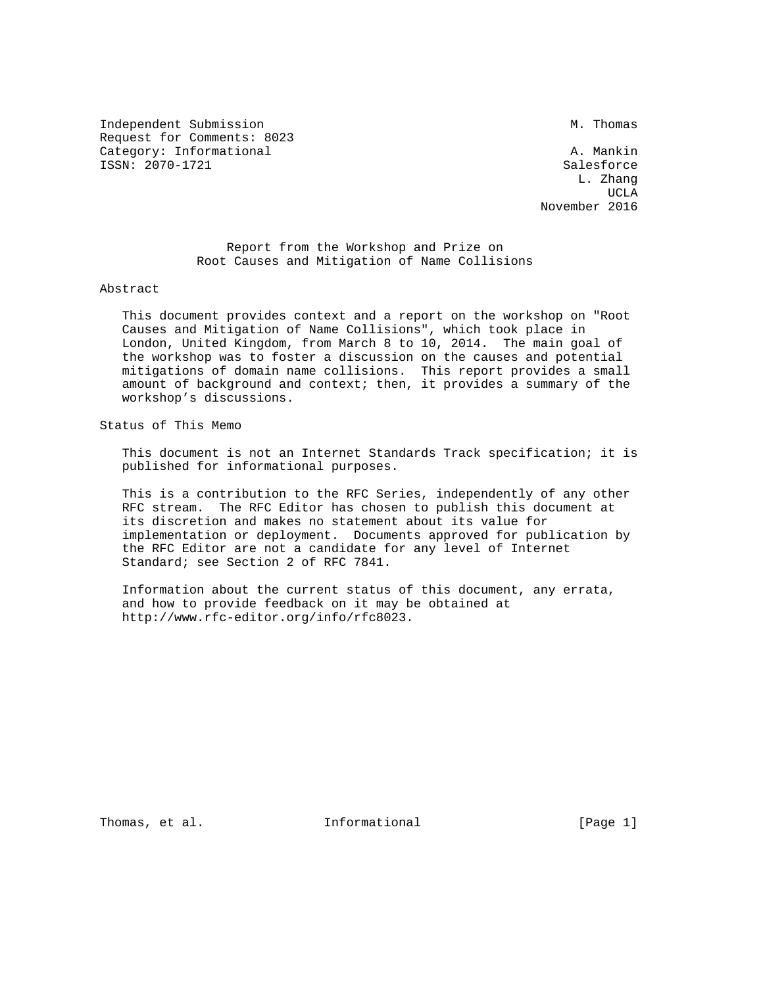Independent Submission M. Thomas Request for Comments: 8023 Category: Informational and A. Mankin ISSN: 2070-1721 Salesforce

 L. Zhang UCLA AND LOCAL CONTRACT OF THE SECOND SECOND SECOND SECOND SECOND SECOND SECOND SECOND SECOND SECOND SECOND SECOND SECOND SECOND SECOND SECOND SECOND SECOND SECOND SECOND SECOND SECOND SECOND SECOND SECOND SECOND SECOND SE November 2016

> Report from the Workshop and Prize on Root Causes and Mitigation of Name Collisions

Abstract

 This document provides context and a report on the workshop on "Root Causes and Mitigation of Name Collisions", which took place in London, United Kingdom, from March 8 to 10, 2014. The main goal of the workshop was to foster a discussion on the causes and potential mitigations of domain name collisions. This report provides a small amount of background and context; then, it provides a summary of the workshop's discussions.

Status of This Memo

 This document is not an Internet Standards Track specification; it is published for informational purposes.

 This is a contribution to the RFC Series, independently of any other RFC stream. The RFC Editor has chosen to publish this document at its discretion and makes no statement about its value for implementation or deployment. Documents approved for publication by the RFC Editor are not a candidate for any level of Internet Standard; see Section 2 of RFC 7841.

 Information about the current status of this document, any errata, and how to provide feedback on it may be obtained at http://www.rfc-editor.org/info/rfc8023.

Thomas, et al. Informational [Page 1]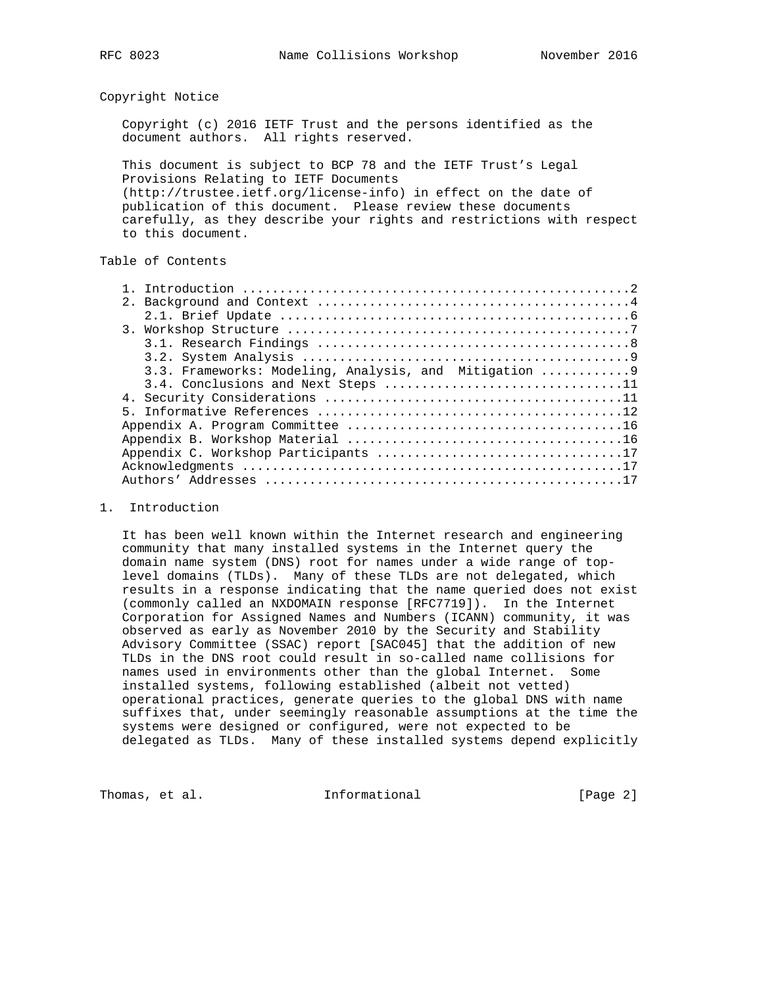### Copyright Notice

 Copyright (c) 2016 IETF Trust and the persons identified as the document authors. All rights reserved.

 This document is subject to BCP 78 and the IETF Trust's Legal Provisions Relating to IETF Documents (http://trustee.ietf.org/license-info) in effect on the date of publication of this document. Please review these documents carefully, as they describe your rights and restrictions with respect to this document.

## Table of Contents

| 3.3. Frameworks: Modeling, Analysis, and Mitigation 9 |
|-------------------------------------------------------|
| 3.4. Conclusions and Next Steps 11                    |
|                                                       |
|                                                       |
|                                                       |
|                                                       |
|                                                       |
|                                                       |
|                                                       |

#### 1. Introduction

 It has been well known within the Internet research and engineering community that many installed systems in the Internet query the domain name system (DNS) root for names under a wide range of top level domains (TLDs). Many of these TLDs are not delegated, which results in a response indicating that the name queried does not exist (commonly called an NXDOMAIN response [RFC7719]). In the Internet Corporation for Assigned Names and Numbers (ICANN) community, it was observed as early as November 2010 by the Security and Stability Advisory Committee (SSAC) report [SAC045] that the addition of new TLDs in the DNS root could result in so-called name collisions for names used in environments other than the global Internet. Some installed systems, following established (albeit not vetted) operational practices, generate queries to the global DNS with name suffixes that, under seemingly reasonable assumptions at the time the systems were designed or configured, were not expected to be delegated as TLDs. Many of these installed systems depend explicitly

Thomas, et al. 100 Informational 100 Informational [Page 2]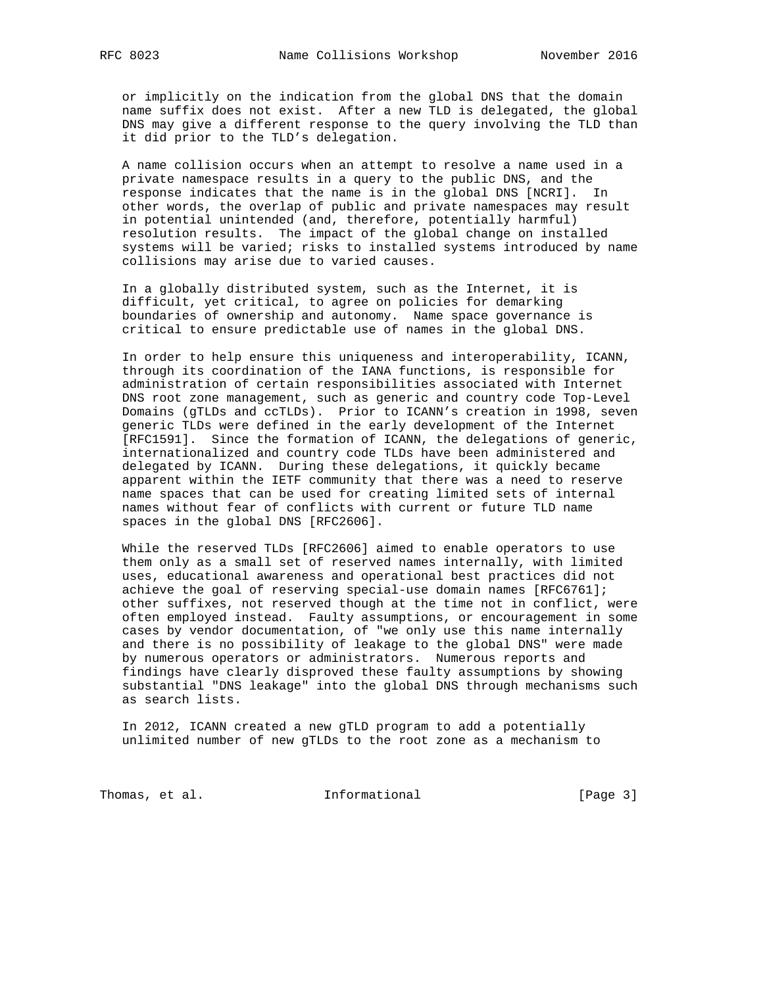or implicitly on the indication from the global DNS that the domain name suffix does not exist. After a new TLD is delegated, the global DNS may give a different response to the query involving the TLD than it did prior to the TLD's delegation.

 A name collision occurs when an attempt to resolve a name used in a private namespace results in a query to the public DNS, and the response indicates that the name is in the global DNS [NCRI]. In other words, the overlap of public and private namespaces may result in potential unintended (and, therefore, potentially harmful) resolution results. The impact of the global change on installed systems will be varied; risks to installed systems introduced by name collisions may arise due to varied causes.

 In a globally distributed system, such as the Internet, it is difficult, yet critical, to agree on policies for demarking boundaries of ownership and autonomy. Name space governance is critical to ensure predictable use of names in the global DNS.

 In order to help ensure this uniqueness and interoperability, ICANN, through its coordination of the IANA functions, is responsible for administration of certain responsibilities associated with Internet DNS root zone management, such as generic and country code Top-Level Domains (gTLDs and ccTLDs). Prior to ICANN's creation in 1998, seven generic TLDs were defined in the early development of the Internet [RFC1591]. Since the formation of ICANN, the delegations of generic, internationalized and country code TLDs have been administered and delegated by ICANN. During these delegations, it quickly became apparent within the IETF community that there was a need to reserve name spaces that can be used for creating limited sets of internal names without fear of conflicts with current or future TLD name spaces in the global DNS [RFC2606].

 While the reserved TLDs [RFC2606] aimed to enable operators to use them only as a small set of reserved names internally, with limited uses, educational awareness and operational best practices did not achieve the goal of reserving special-use domain names [RFC6761]; other suffixes, not reserved though at the time not in conflict, were often employed instead. Faulty assumptions, or encouragement in some cases by vendor documentation, of "we only use this name internally and there is no possibility of leakage to the global DNS" were made by numerous operators or administrators. Numerous reports and findings have clearly disproved these faulty assumptions by showing substantial "DNS leakage" into the global DNS through mechanisms such as search lists.

 In 2012, ICANN created a new gTLD program to add a potentially unlimited number of new gTLDs to the root zone as a mechanism to

Thomas, et al. 1nformational 1999 [Page 3]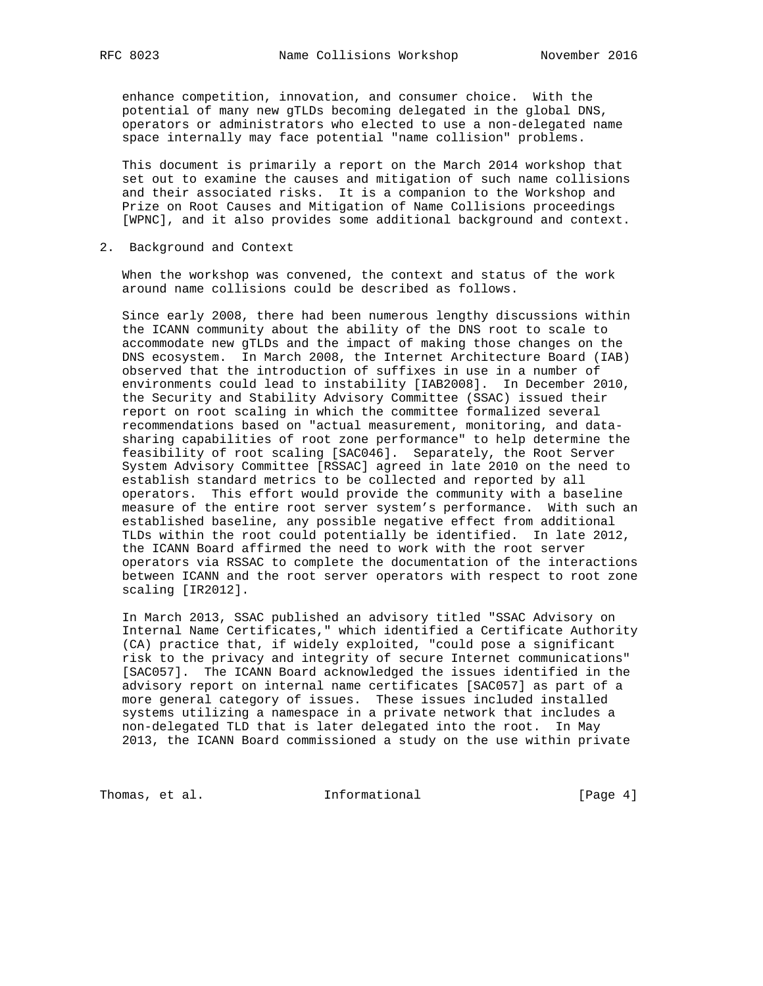enhance competition, innovation, and consumer choice. With the potential of many new gTLDs becoming delegated in the global DNS, operators or administrators who elected to use a non-delegated name space internally may face potential "name collision" problems.

 This document is primarily a report on the March 2014 workshop that set out to examine the causes and mitigation of such name collisions and their associated risks. It is a companion to the Workshop and Prize on Root Causes and Mitigation of Name Collisions proceedings [WPNC], and it also provides some additional background and context.

2. Background and Context

 When the workshop was convened, the context and status of the work around name collisions could be described as follows.

 Since early 2008, there had been numerous lengthy discussions within the ICANN community about the ability of the DNS root to scale to accommodate new gTLDs and the impact of making those changes on the DNS ecosystem. In March 2008, the Internet Architecture Board (IAB) observed that the introduction of suffixes in use in a number of environments could lead to instability [IAB2008]. In December 2010, the Security and Stability Advisory Committee (SSAC) issued their report on root scaling in which the committee formalized several recommendations based on "actual measurement, monitoring, and data sharing capabilities of root zone performance" to help determine the feasibility of root scaling [SAC046]. Separately, the Root Server System Advisory Committee [RSSAC] agreed in late 2010 on the need to establish standard metrics to be collected and reported by all operators. This effort would provide the community with a baseline measure of the entire root server system's performance. With such an established baseline, any possible negative effect from additional TLDs within the root could potentially be identified. In late 2012, the ICANN Board affirmed the need to work with the root server operators via RSSAC to complete the documentation of the interactions between ICANN and the root server operators with respect to root zone scaling [IR2012].

 In March 2013, SSAC published an advisory titled "SSAC Advisory on Internal Name Certificates," which identified a Certificate Authority (CA) practice that, if widely exploited, "could pose a significant risk to the privacy and integrity of secure Internet communications" [SAC057]. The ICANN Board acknowledged the issues identified in the advisory report on internal name certificates [SAC057] as part of a more general category of issues. These issues included installed systems utilizing a namespace in a private network that includes a non-delegated TLD that is later delegated into the root. In May 2013, the ICANN Board commissioned a study on the use within private

Thomas, et al. 1nformational 1999 [Page 4]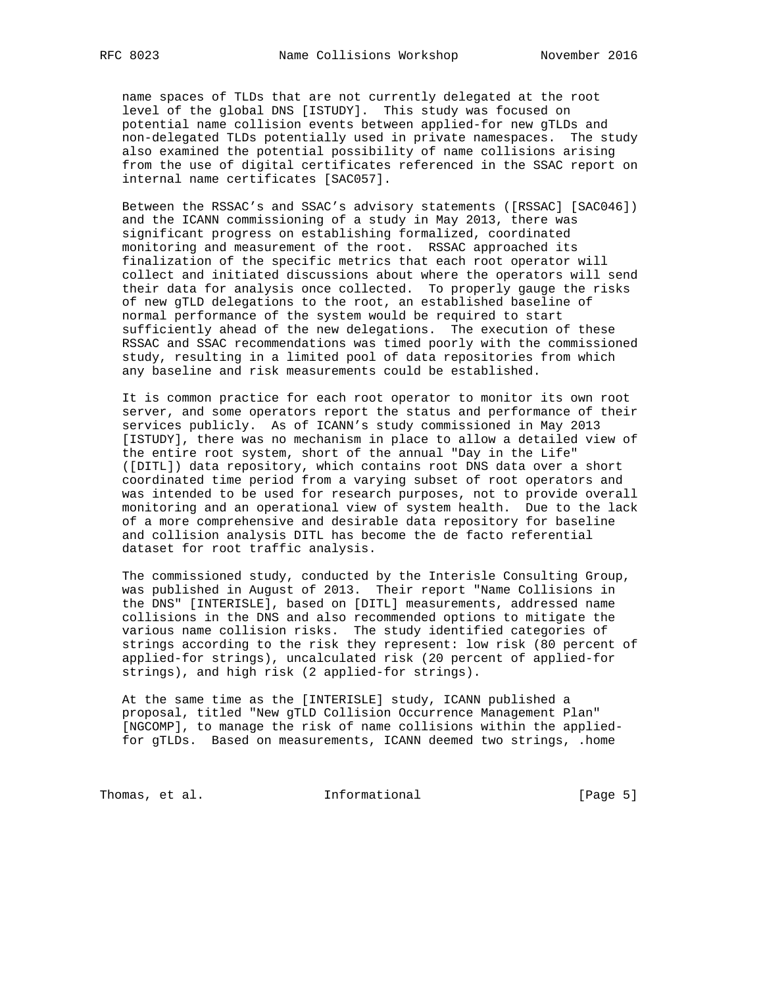name spaces of TLDs that are not currently delegated at the root level of the global DNS [ISTUDY]. This study was focused on potential name collision events between applied-for new gTLDs and non-delegated TLDs potentially used in private namespaces. The study also examined the potential possibility of name collisions arising from the use of digital certificates referenced in the SSAC report on internal name certificates [SAC057].

 Between the RSSAC's and SSAC's advisory statements ([RSSAC] [SAC046]) and the ICANN commissioning of a study in May 2013, there was significant progress on establishing formalized, coordinated monitoring and measurement of the root. RSSAC approached its finalization of the specific metrics that each root operator will collect and initiated discussions about where the operators will send their data for analysis once collected. To properly gauge the risks of new gTLD delegations to the root, an established baseline of normal performance of the system would be required to start sufficiently ahead of the new delegations. The execution of these RSSAC and SSAC recommendations was timed poorly with the commissioned study, resulting in a limited pool of data repositories from which any baseline and risk measurements could be established.

 It is common practice for each root operator to monitor its own root server, and some operators report the status and performance of their services publicly. As of ICANN's study commissioned in May 2013 [ISTUDY], there was no mechanism in place to allow a detailed view of the entire root system, short of the annual "Day in the Life" ([DITL]) data repository, which contains root DNS data over a short coordinated time period from a varying subset of root operators and was intended to be used for research purposes, not to provide overall monitoring and an operational view of system health. Due to the lack of a more comprehensive and desirable data repository for baseline and collision analysis DITL has become the de facto referential dataset for root traffic analysis.

 The commissioned study, conducted by the Interisle Consulting Group, was published in August of 2013. Their report "Name Collisions in the DNS" [INTERISLE], based on [DITL] measurements, addressed name collisions in the DNS and also recommended options to mitigate the various name collision risks. The study identified categories of strings according to the risk they represent: low risk (80 percent of applied-for strings), uncalculated risk (20 percent of applied-for strings), and high risk (2 applied-for strings).

 At the same time as the [INTERISLE] study, ICANN published a proposal, titled "New gTLD Collision Occurrence Management Plan" [NGCOMP], to manage the risk of name collisions within the applied for gTLDs. Based on measurements, ICANN deemed two strings, .home

Thomas, et al. 10 Informational 100 Informational [Page 5]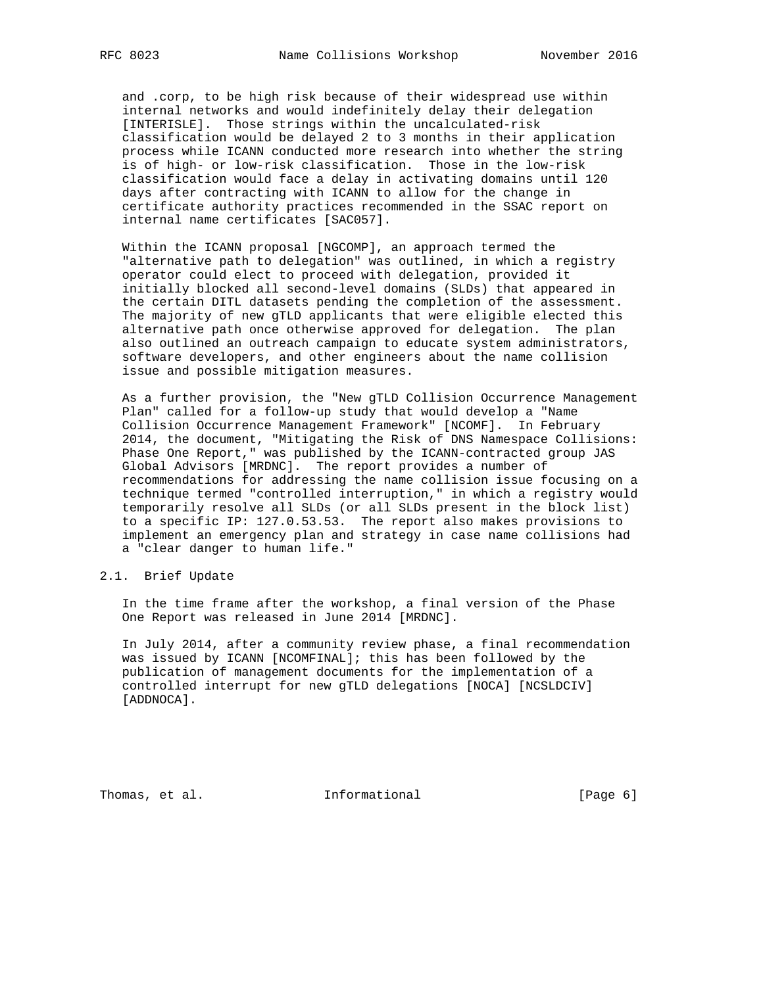and .corp, to be high risk because of their widespread use within internal networks and would indefinitely delay their delegation [INTERISLE]. Those strings within the uncalculated-risk classification would be delayed 2 to 3 months in their application process while ICANN conducted more research into whether the string is of high- or low-risk classification. Those in the low-risk classification would face a delay in activating domains until 120 days after contracting with ICANN to allow for the change in certificate authority practices recommended in the SSAC report on internal name certificates [SAC057].

 Within the ICANN proposal [NGCOMP], an approach termed the "alternative path to delegation" was outlined, in which a registry operator could elect to proceed with delegation, provided it initially blocked all second-level domains (SLDs) that appeared in the certain DITL datasets pending the completion of the assessment. The majority of new gTLD applicants that were eligible elected this alternative path once otherwise approved for delegation. The plan also outlined an outreach campaign to educate system administrators, software developers, and other engineers about the name collision issue and possible mitigation measures.

 As a further provision, the "New gTLD Collision Occurrence Management Plan" called for a follow-up study that would develop a "Name Collision Occurrence Management Framework" [NCOMF]. In February 2014, the document, "Mitigating the Risk of DNS Namespace Collisions: Phase One Report," was published by the ICANN-contracted group JAS Global Advisors [MRDNC]. The report provides a number of recommendations for addressing the name collision issue focusing on a technique termed "controlled interruption," in which a registry would temporarily resolve all SLDs (or all SLDs present in the block list) to a specific IP: 127.0.53.53. The report also makes provisions to implement an emergency plan and strategy in case name collisions had a "clear danger to human life."

#### 2.1. Brief Update

 In the time frame after the workshop, a final version of the Phase One Report was released in June 2014 [MRDNC].

 In July 2014, after a community review phase, a final recommendation was issued by ICANN [NCOMFINAL]; this has been followed by the publication of management documents for the implementation of a controlled interrupt for new gTLD delegations [NOCA] [NCSLDCIV] [ADDNOCA].

Thomas, et al. 100 Informational 100 Informational [Page 6]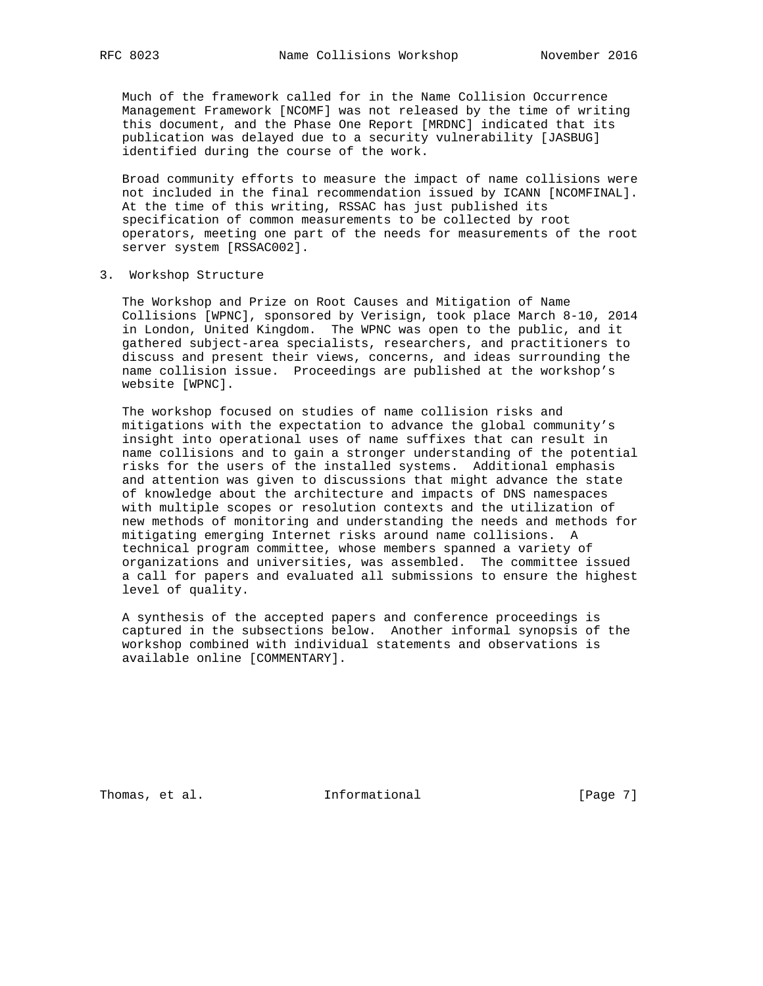Much of the framework called for in the Name Collision Occurrence Management Framework [NCOMF] was not released by the time of writing this document, and the Phase One Report [MRDNC] indicated that its publication was delayed due to a security vulnerability [JASBUG] identified during the course of the work.

 Broad community efforts to measure the impact of name collisions were not included in the final recommendation issued by ICANN [NCOMFINAL]. At the time of this writing, RSSAC has just published its specification of common measurements to be collected by root operators, meeting one part of the needs for measurements of the root server system [RSSAC002].

3. Workshop Structure

 The Workshop and Prize on Root Causes and Mitigation of Name Collisions [WPNC], sponsored by Verisign, took place March 8-10, 2014 in London, United Kingdom. The WPNC was open to the public, and it gathered subject-area specialists, researchers, and practitioners to discuss and present their views, concerns, and ideas surrounding the name collision issue. Proceedings are published at the workshop's website [WPNC].

 The workshop focused on studies of name collision risks and mitigations with the expectation to advance the global community's insight into operational uses of name suffixes that can result in name collisions and to gain a stronger understanding of the potential risks for the users of the installed systems. Additional emphasis and attention was given to discussions that might advance the state of knowledge about the architecture and impacts of DNS namespaces with multiple scopes or resolution contexts and the utilization of new methods of monitoring and understanding the needs and methods for mitigating emerging Internet risks around name collisions. A technical program committee, whose members spanned a variety of organizations and universities, was assembled. The committee issued a call for papers and evaluated all submissions to ensure the highest level of quality.

 A synthesis of the accepted papers and conference proceedings is captured in the subsections below. Another informal synopsis of the workshop combined with individual statements and observations is available online [COMMENTARY].

Thomas, et al. 100 Informational 100 Informational [Page 7]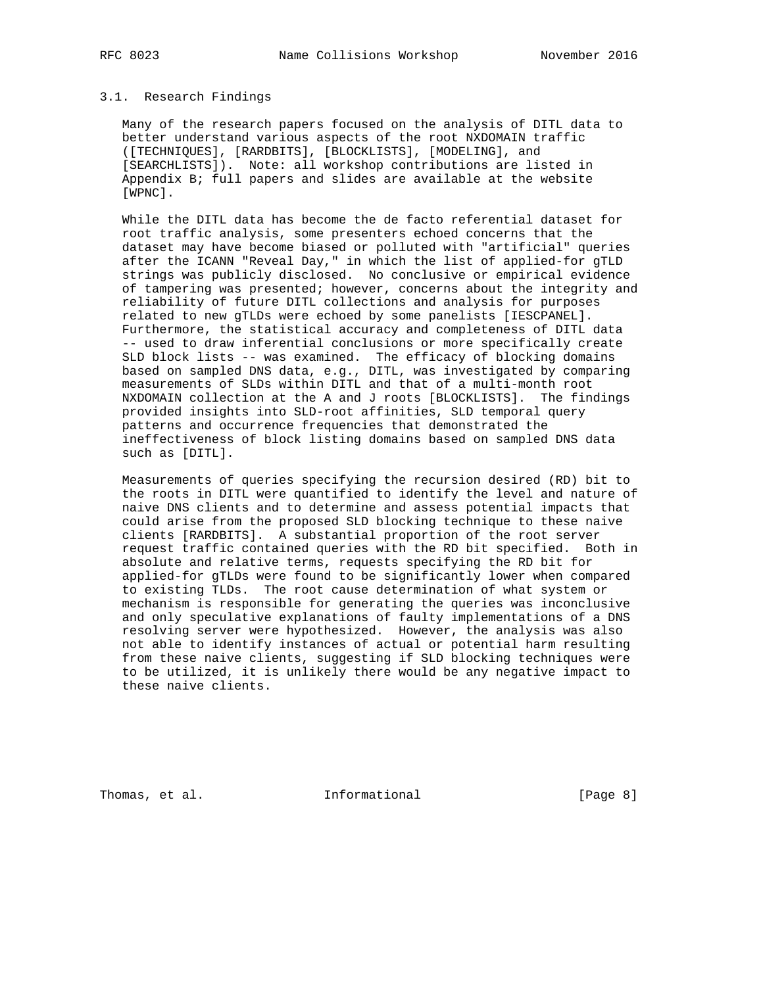#### 3.1. Research Findings

 Many of the research papers focused on the analysis of DITL data to better understand various aspects of the root NXDOMAIN traffic ([TECHNIQUES], [RARDBITS], [BLOCKLISTS], [MODELING], and [SEARCHLISTS]). Note: all workshop contributions are listed in Appendix B; full papers and slides are available at the website [WPNC].

 While the DITL data has become the de facto referential dataset for root traffic analysis, some presenters echoed concerns that the dataset may have become biased or polluted with "artificial" queries after the ICANN "Reveal Day," in which the list of applied-for gTLD strings was publicly disclosed. No conclusive or empirical evidence of tampering was presented; however, concerns about the integrity and reliability of future DITL collections and analysis for purposes related to new gTLDs were echoed by some panelists [IESCPANEL]. Furthermore, the statistical accuracy and completeness of DITL data -- used to draw inferential conclusions or more specifically create SLD block lists -- was examined. The efficacy of blocking domains based on sampled DNS data, e.g., DITL, was investigated by comparing measurements of SLDs within DITL and that of a multi-month root NXDOMAIN collection at the A and J roots [BLOCKLISTS]. The findings provided insights into SLD-root affinities, SLD temporal query patterns and occurrence frequencies that demonstrated the ineffectiveness of block listing domains based on sampled DNS data such as [DITL].

 Measurements of queries specifying the recursion desired (RD) bit to the roots in DITL were quantified to identify the level and nature of naive DNS clients and to determine and assess potential impacts that could arise from the proposed SLD blocking technique to these naive clients [RARDBITS]. A substantial proportion of the root server request traffic contained queries with the RD bit specified. Both in absolute and relative terms, requests specifying the RD bit for applied-for gTLDs were found to be significantly lower when compared to existing TLDs. The root cause determination of what system or mechanism is responsible for generating the queries was inconclusive and only speculative explanations of faulty implementations of a DNS resolving server were hypothesized. However, the analysis was also not able to identify instances of actual or potential harm resulting from these naive clients, suggesting if SLD blocking techniques were to be utilized, it is unlikely there would be any negative impact to these naive clients.

Thomas, et al. 100 Informational 100 Informational [Page 8]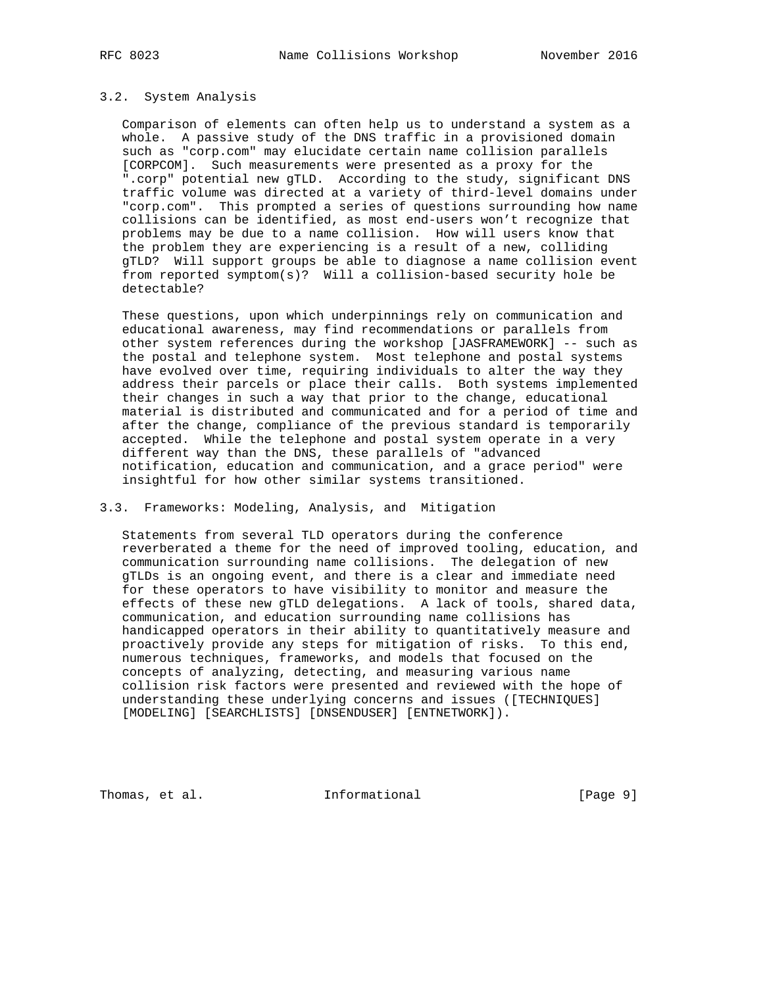#### 3.2. System Analysis

 Comparison of elements can often help us to understand a system as a whole. A passive study of the DNS traffic in a provisioned domain such as "corp.com" may elucidate certain name collision parallels [CORPCOM]. Such measurements were presented as a proxy for the ".corp" potential new gTLD. According to the study, significant DNS traffic volume was directed at a variety of third-level domains under "corp.com". This prompted a series of questions surrounding how name collisions can be identified, as most end-users won't recognize that problems may be due to a name collision. How will users know that the problem they are experiencing is a result of a new, colliding gTLD? Will support groups be able to diagnose a name collision event from reported symptom(s)? Will a collision-based security hole be detectable?

 These questions, upon which underpinnings rely on communication and educational awareness, may find recommendations or parallels from other system references during the workshop [JASFRAMEWORK] -- such as the postal and telephone system. Most telephone and postal systems have evolved over time, requiring individuals to alter the way they address their parcels or place their calls. Both systems implemented their changes in such a way that prior to the change, educational material is distributed and communicated and for a period of time and after the change, compliance of the previous standard is temporarily accepted. While the telephone and postal system operate in a very different way than the DNS, these parallels of "advanced notification, education and communication, and a grace period" were insightful for how other similar systems transitioned.

## 3.3. Frameworks: Modeling, Analysis, and Mitigation

 Statements from several TLD operators during the conference reverberated a theme for the need of improved tooling, education, and communication surrounding name collisions. The delegation of new gTLDs is an ongoing event, and there is a clear and immediate need for these operators to have visibility to monitor and measure the effects of these new gTLD delegations. A lack of tools, shared data, communication, and education surrounding name collisions has handicapped operators in their ability to quantitatively measure and proactively provide any steps for mitigation of risks. To this end, numerous techniques, frameworks, and models that focused on the concepts of analyzing, detecting, and measuring various name collision risk factors were presented and reviewed with the hope of understanding these underlying concerns and issues ([TECHNIQUES] [MODELING] [SEARCHLISTS] [DNSENDUSER] [ENTNETWORK]).

Thomas, et al. 100 Informational 100 Informational [Page 9]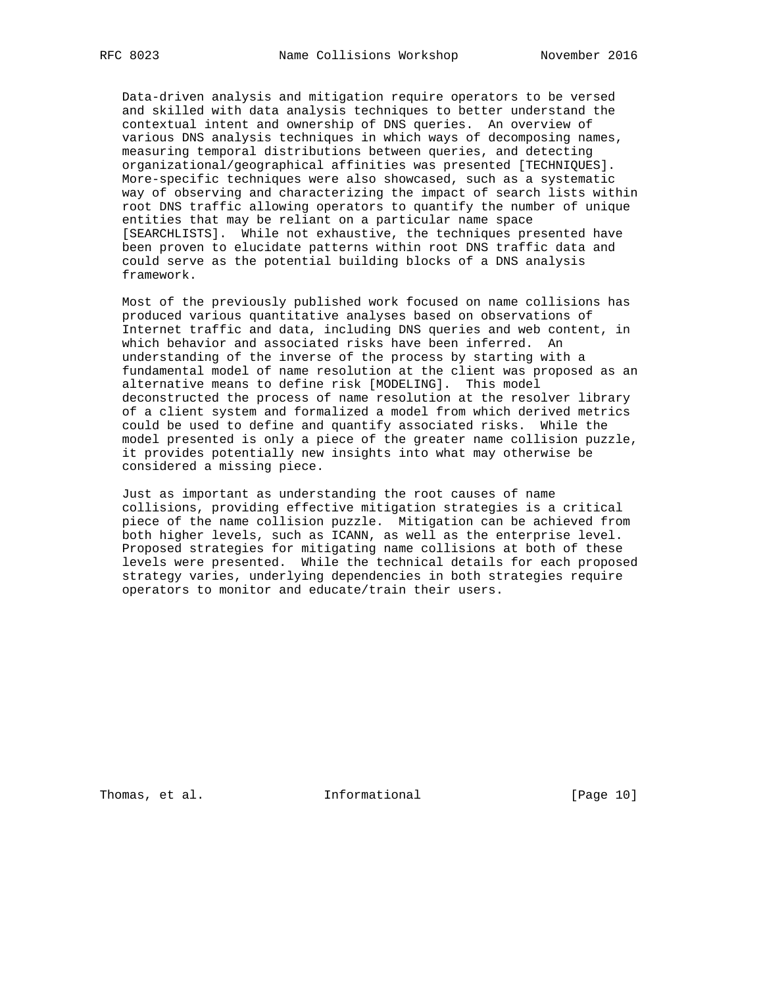Data-driven analysis and mitigation require operators to be versed and skilled with data analysis techniques to better understand the contextual intent and ownership of DNS queries. An overview of various DNS analysis techniques in which ways of decomposing names, measuring temporal distributions between queries, and detecting organizational/geographical affinities was presented [TECHNIQUES]. More-specific techniques were also showcased, such as a systematic way of observing and characterizing the impact of search lists within root DNS traffic allowing operators to quantify the number of unique entities that may be reliant on a particular name space [SEARCHLISTS]. While not exhaustive, the techniques presented have been proven to elucidate patterns within root DNS traffic data and could serve as the potential building blocks of a DNS analysis framework.

 Most of the previously published work focused on name collisions has produced various quantitative analyses based on observations of Internet traffic and data, including DNS queries and web content, in which behavior and associated risks have been inferred. An understanding of the inverse of the process by starting with a fundamental model of name resolution at the client was proposed as an alternative means to define risk [MODELING]. This model deconstructed the process of name resolution at the resolver library of a client system and formalized a model from which derived metrics could be used to define and quantify associated risks. While the model presented is only a piece of the greater name collision puzzle, it provides potentially new insights into what may otherwise be considered a missing piece.

 Just as important as understanding the root causes of name collisions, providing effective mitigation strategies is a critical piece of the name collision puzzle. Mitigation can be achieved from both higher levels, such as ICANN, as well as the enterprise level. Proposed strategies for mitigating name collisions at both of these levels were presented. While the technical details for each proposed strategy varies, underlying dependencies in both strategies require operators to monitor and educate/train their users.

Thomas, et al. 10 Informational 10 [Page 10]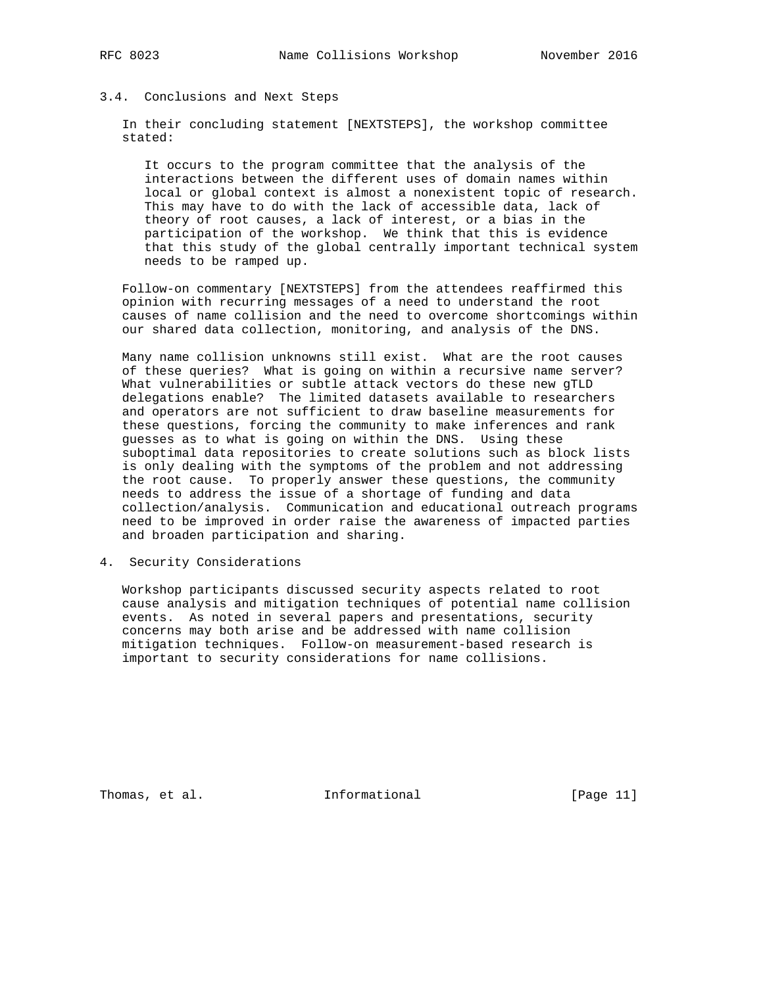#### 3.4. Conclusions and Next Steps

 In their concluding statement [NEXTSTEPS], the workshop committee stated:

 It occurs to the program committee that the analysis of the interactions between the different uses of domain names within local or global context is almost a nonexistent topic of research. This may have to do with the lack of accessible data, lack of theory of root causes, a lack of interest, or a bias in the participation of the workshop. We think that this is evidence that this study of the global centrally important technical system needs to be ramped up.

 Follow-on commentary [NEXTSTEPS] from the attendees reaffirmed this opinion with recurring messages of a need to understand the root causes of name collision and the need to overcome shortcomings within our shared data collection, monitoring, and analysis of the DNS.

 Many name collision unknowns still exist. What are the root causes of these queries? What is going on within a recursive name server? What vulnerabilities or subtle attack vectors do these new gTLD delegations enable? The limited datasets available to researchers and operators are not sufficient to draw baseline measurements for these questions, forcing the community to make inferences and rank guesses as to what is going on within the DNS. Using these suboptimal data repositories to create solutions such as block lists is only dealing with the symptoms of the problem and not addressing the root cause. To properly answer these questions, the community needs to address the issue of a shortage of funding and data collection/analysis. Communication and educational outreach programs need to be improved in order raise the awareness of impacted parties and broaden participation and sharing.

4. Security Considerations

 Workshop participants discussed security aspects related to root cause analysis and mitigation techniques of potential name collision events. As noted in several papers and presentations, security concerns may both arise and be addressed with name collision mitigation techniques. Follow-on measurement-based research is important to security considerations for name collisions.

Thomas, et al. 10. Informational 1. [Page 11]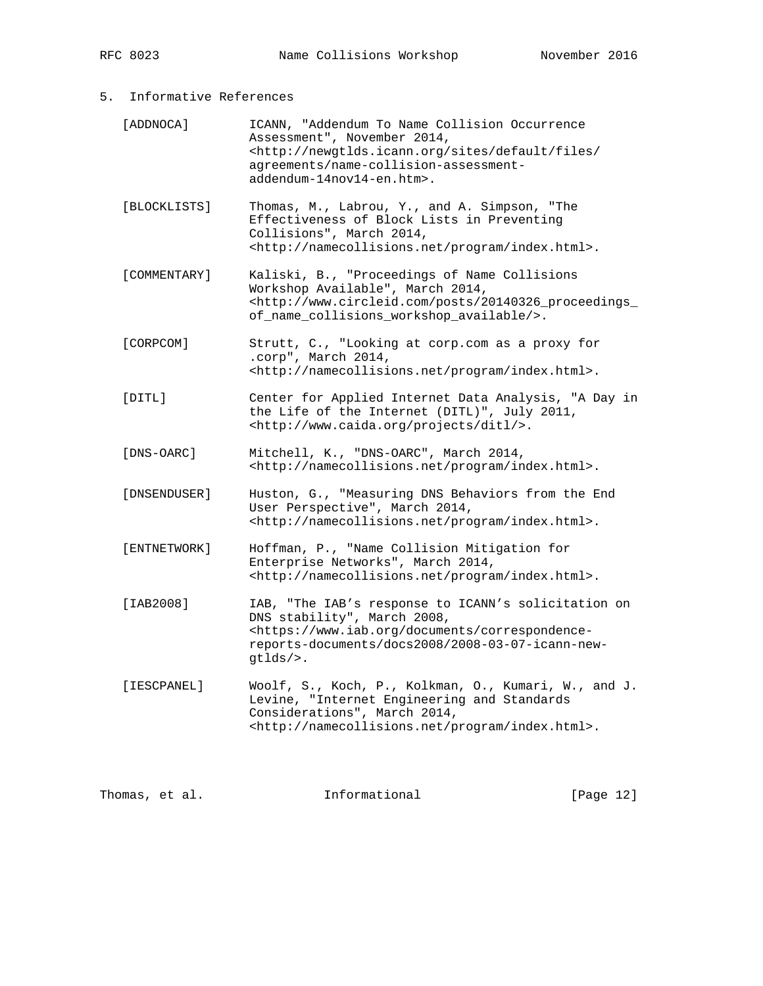# 5. Informative References

| [ADDNOCA]    | ICANN, "Addendum To Name Collision Occurrence<br>Assessment", November 2014,<br><http: <br="" default="" files="" newgtlds.icann.org="" sites="">agreements/name-collision-assessment-<br/>addendum-14nov14-en.htm&gt;.</http:> |
|--------------|---------------------------------------------------------------------------------------------------------------------------------------------------------------------------------------------------------------------------------|
| [BLOCKLISTS] | Thomas, M., Labrou, Y., and A. Simpson, "The<br>Effectiveness of Block Lists in Preventing<br>Collisions", March 2014,<br><http: index.html="" namecollisions.net="" program="">.</http:>                                       |
| [COMMENTARY] | Kaliski, B., "Proceedings of Name Collisions<br>Workshop Available", March 2014,<br><http: 20140326_proceedings_<br="" posts="" www.circleid.com="">of_name_collisions_workshop_available/&gt;.</http:>                         |
| [CORPCOM]    | Strutt, C., "Looking at corp.com as a proxy for<br>.corp", March 2014,<br><http: index.html="" namecollisions.net="" program="">.</http:>                                                                                       |
| [DTTL]       | Center for Applied Internet Data Analysis, "A Day in<br>the Life of the Internet (DITL)", July 2011,<br><http: ditl="" projects="" www.caida.org=""></http:> .                                                                  |
| [DNS-OARC]   | Mitchell, K., "DNS-OARC", March 2014,<br><http: index.html="" namecollisions.net="" program="">.</http:>                                                                                                                        |
| [DNSENDUSER] | Huston, G., "Measuring DNS Behaviors from the End<br>User Perspective", March 2014,<br><http: index.html="" namecollisions.net="" program="">.</http:>                                                                          |
| [ENTNETWORK] | Hoffman, P., "Name Collision Mitigation for<br>Enterprise Networks", March 2014,<br><http: index.html="" namecollisions.net="" program="">.</http:>                                                                             |
| [IAB2008]    | IAB, "The IAB's response to ICANN's solicitation on<br>DNS stability", March 2008,<br><https: correspondence-<br="" documents="" www.iab.org="">reports-documents/docs2008/2008-03-07-icann-new-<br/>gtlds/&gt;.</https:>       |
| [IESCPANEL]  | Woolf, S., Koch, P., Kolkman, O., Kumari, W., and J.<br>Levine, "Internet Engineering and Standards<br>Considerations", March 2014,<br><http: index.html="" namecollisions.net="" program="">.</http:>                          |

Thomas, et al. 1nformational [Page 12]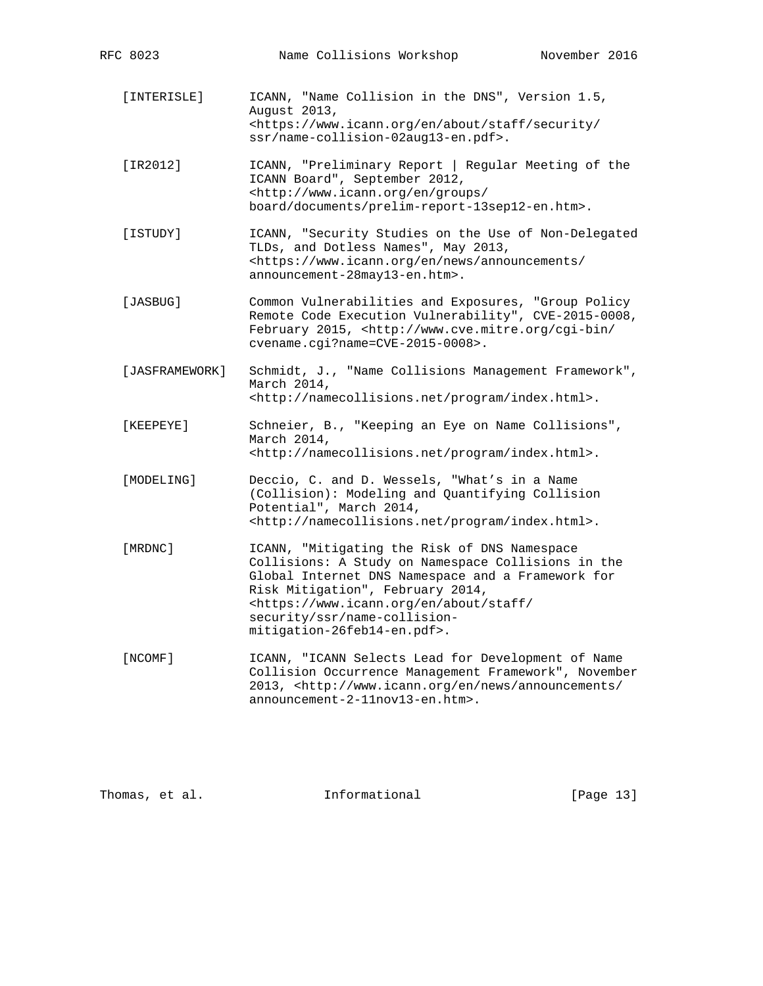[INTERISLE] ICANN, "Name Collision in the DNS", Version 1.5, August 2013, <https://www.icann.org/en/about/staff/security/ ssr/name-collision-02aug13-en.pdf>.

 [IR2012] ICANN, "Preliminary Report | Regular Meeting of the ICANN Board", September 2012, <http://www.icann.org/en/groups/ board/documents/prelim-report-13sep12-en.htm>.

- [ISTUDY] ICANN, "Security Studies on the Use of Non-Delegated TLDs, and Dotless Names", May 2013, <https://www.icann.org/en/news/announcements/ announcement-28may13-en.htm>.
- [JASBUG] Common Vulnerabilities and Exposures, "Group Policy Remote Code Execution Vulnerability", CVE-2015-0008, February 2015, <http://www.cve.mitre.org/cgi-bin/ cvename.cgi?name=CVE-2015-0008>.
- [JASFRAMEWORK] Schmidt, J., "Name Collisions Management Framework", March 2014, <http://namecollisions.net/program/index.html>.
- [KEEPEYE] Schneier, B., "Keeping an Eye on Name Collisions", March 2014, <http://namecollisions.net/program/index.html>.
- [MODELING] Deccio, C. and D. Wessels, "What's in a Name (Collision): Modeling and Quantifying Collision Potential", March 2014, <http://namecollisions.net/program/index.html>.
- [MRDNC] ICANN, "Mitigating the Risk of DNS Namespace Collisions: A Study on Namespace Collisions in the Global Internet DNS Namespace and a Framework for Risk Mitigation", February 2014, <https://www.icann.org/en/about/staff/ security/ssr/name-collision mitigation-26feb14-en.pdf>.
- [NCOMF] ICANN, "ICANN Selects Lead for Development of Name Collision Occurrence Management Framework", November 2013, <http://www.icann.org/en/news/announcements/ announcement-2-11nov13-en.htm>.

Thomas, et al. Informational [Page 13]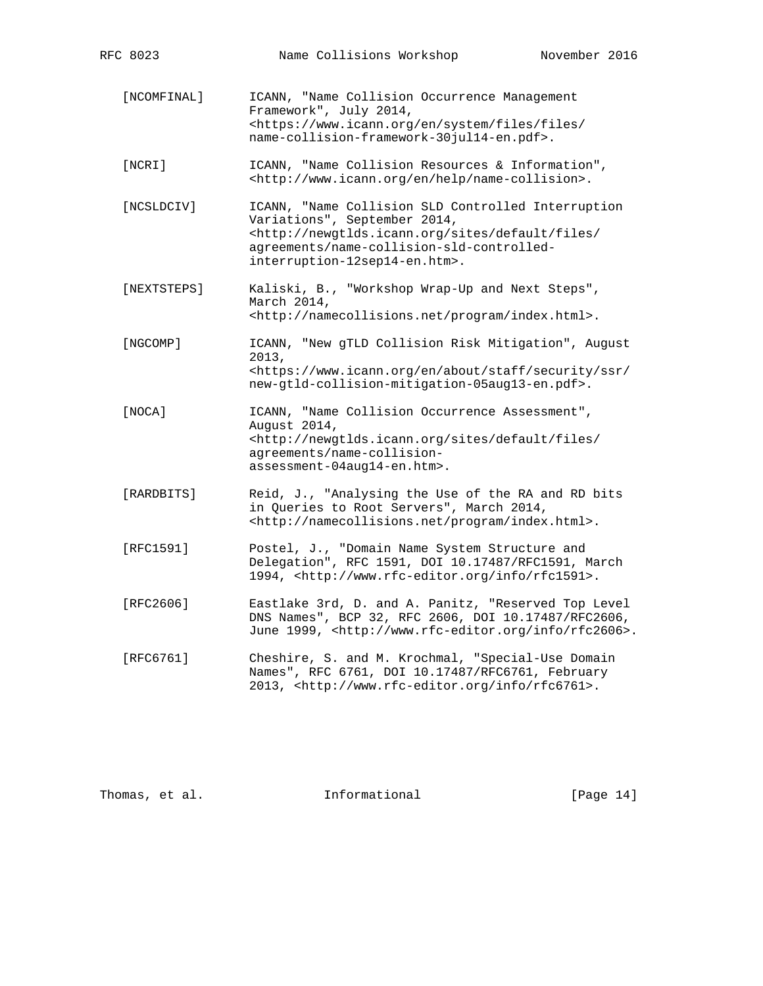[NCOMFINAL] ICANN, "Name Collision Occurrence Management Framework", July 2014, <https://www.icann.org/en/system/files/files/ name-collision-framework-30jul14-en.pdf>. [NCRI] ICANN, "Name Collision Resources & Information", <http://www.icann.org/en/help/name-collision>. [NCSLDCIV] ICANN, "Name Collision SLD Controlled Interruption Variations", September 2014, <http://newgtlds.icann.org/sites/default/files/ agreements/name-collision-sld-controlled interruption-12sep14-en.htm>. [NEXTSTEPS] Kaliski, B., "Workshop Wrap-Up and Next Steps", March 2014, <http://namecollisions.net/program/index.html>. [NGCOMP] ICANN, "New gTLD Collision Risk Mitigation", August 2013, <https://www.icann.org/en/about/staff/security/ssr/ new-gtld-collision-mitigation-05aug13-en.pdf>. [NOCA] ICANN, "Name Collision Occurrence Assessment", August 2014, <http://newgtlds.icann.org/sites/default/files/ agreements/name-collision assessment-04aug14-en.htm>. [RARDBITS] Reid, J., "Analysing the Use of the RA and RD bits in Queries to Root Servers", March 2014, <http://namecollisions.net/program/index.html>. [RFC1591] Postel, J., "Domain Name System Structure and Delegation", RFC 1591, DOI 10.17487/RFC1591, March 1994, <http://www.rfc-editor.org/info/rfc1591>. [RFC2606] Eastlake 3rd, D. and A. Panitz, "Reserved Top Level DNS Names", BCP 32, RFC 2606, DOI 10.17487/RFC2606, June 1999, <http://www.rfc-editor.org/info/rfc2606>. [RFC6761] Cheshire, S. and M. Krochmal, "Special-Use Domain Names", RFC 6761, DOI 10.17487/RFC6761, February 2013, <http://www.rfc-editor.org/info/rfc6761>.

Thomas, et al. Informational [Page 14]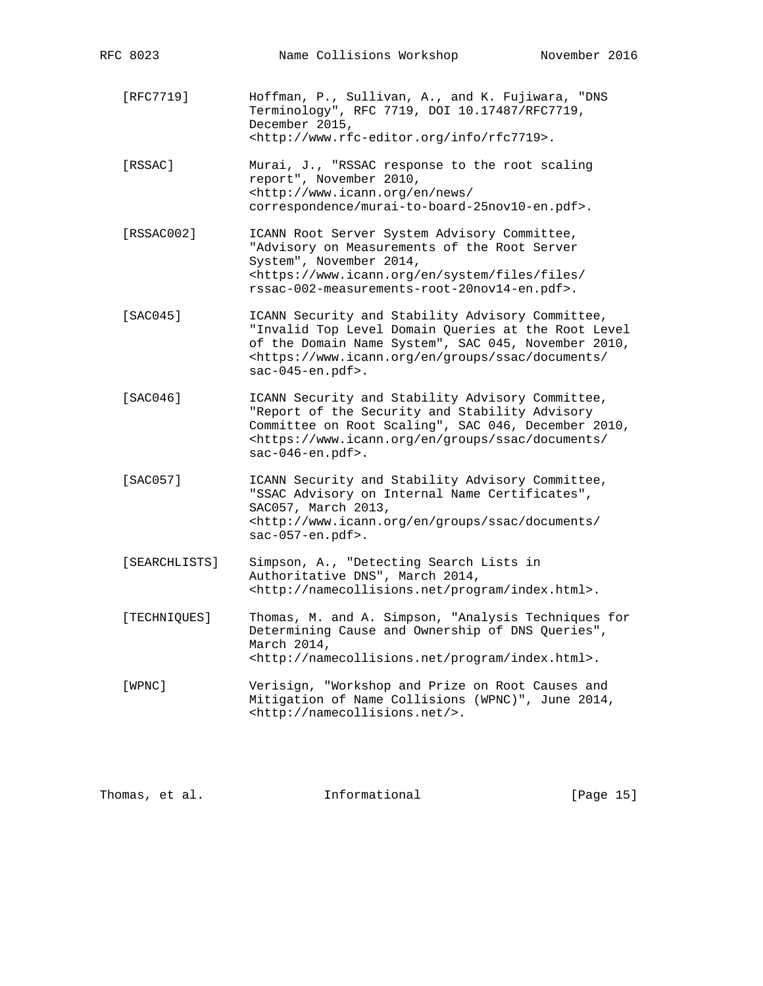| RFC 8023      | Name Collisions Workshop                                                                                                                                                                                                                                                     | November 2016 |
|---------------|------------------------------------------------------------------------------------------------------------------------------------------------------------------------------------------------------------------------------------------------------------------------------|---------------|
| [RFC7719]     | Hoffman, P., Sullivan, A., and K. Fujiwara, "DNS<br>Terminology", RFC 7719, DOI 10.17487/RFC7719,<br>December 2015,<br><http: info="" rfc7719="" www.rfc-editor.org="">.</http:>                                                                                             |               |
| [RSSAC]       | Murai, J., "RSSAC response to the root scaling<br>report", November 2010,<br><http: <br="" en="" news="" www.icann.org="">correspondence/murai-to-board-25nov10-en.pdf&gt;.</http:>                                                                                          |               |
| [RSSAC002]    | ICANN Root Server System Advisory Committee,<br>"Advisory on Measurements of the Root Server<br>System", November 2014,<br><https: <br="" en="" files="" system="" www.icann.org="">rssac-002-measurements-root-20nov14-en.pdf&gt;.</https:>                                 |               |
| SAC0451       | ICANN Security and Stability Advisory Committee,<br>"Invalid Top Level Domain Queries at the Root Level<br>of the Domain Name System", SAC 045, November 2010,<br><https: <br="" documents="" en="" groups="" ssac="" www.icann.org=""><math>sac-045-en.pdf</math>.</https:> |               |
| [SAC046]      | ICANN Security and Stability Advisory Committee,<br>"Report of the Security and Stability Advisory<br>Committee on Root Scaling", SAC 046, December 2010,<br><https: <br="" documents="" en="" groups="" ssac="" www.icann.org="">sac-046-en.pdf&gt;.</https:>               |               |
| [SAC057]      | ICANN Security and Stability Advisory Committee,<br>"SSAC Advisory on Internal Name Certificates",<br>SAC057, March 2013,<br><http: <br="" documents="" en="" groups="" ssac="" www.icann.org="">sac-057-en.pdf&gt;.</http:>                                                 |               |
| [SEARCHLISTS] | Simpson, A., "Detecting Search Lists in<br>Authoritative DNS", March 2014,<br><http: index.html="" namecollisions.net="" program="">.</http:>                                                                                                                                |               |
| [TECHNIQUES]  | Thomas, M. and A. Simpson, "Analysis Techniques for<br>Determining Cause and Ownership of DNS Queries",<br>March 2014,<br><http: index.html="" namecollisions.net="" program="">.</http:>                                                                                    |               |
| [WPNC]        | Verisign, "Workshop and Prize on Root Causes and<br>Mitigation of Name Collisions (WPNC)", June 2014,<br><http: namecollisions.net=""></http:> .                                                                                                                             |               |

Thomas, et al. 1nformational [Page 15]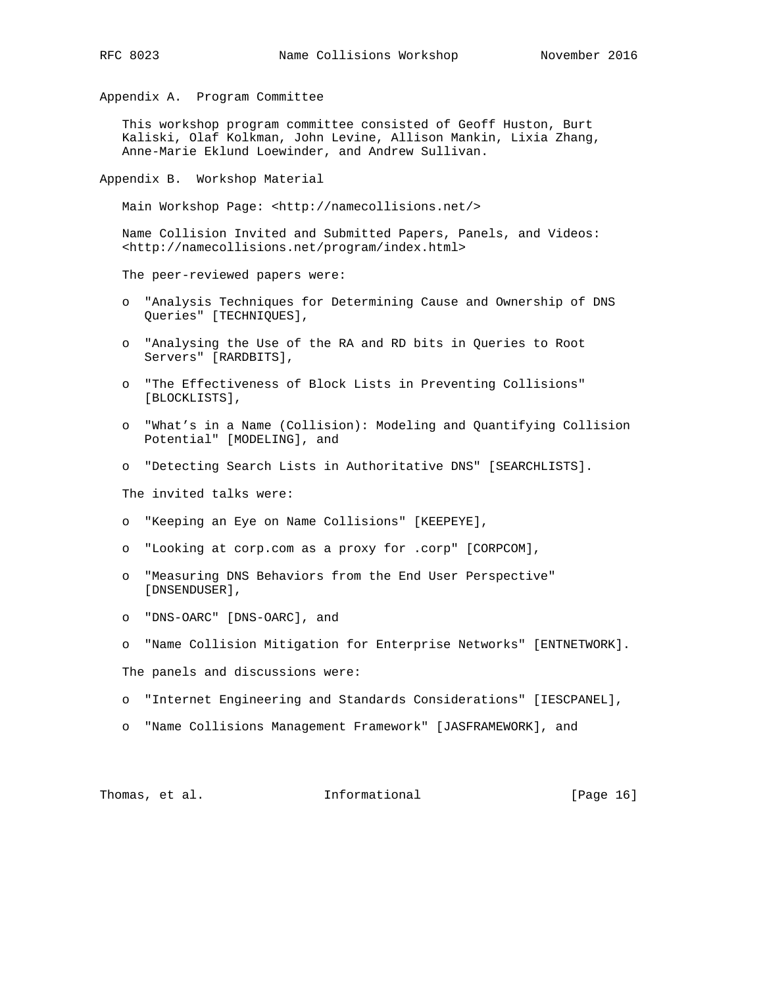Appendix A. Program Committee

 This workshop program committee consisted of Geoff Huston, Burt Kaliski, Olaf Kolkman, John Levine, Allison Mankin, Lixia Zhang, Anne-Marie Eklund Loewinder, and Andrew Sullivan.

Appendix B. Workshop Material

Main Workshop Page: <http://namecollisions.net/>

 Name Collision Invited and Submitted Papers, Panels, and Videos: <http://namecollisions.net/program/index.html>

The peer-reviewed papers were:

- o "Analysis Techniques for Determining Cause and Ownership of DNS Queries" [TECHNIQUES],
- o "Analysing the Use of the RA and RD bits in Queries to Root Servers" [RARDBITS],
- o "The Effectiveness of Block Lists in Preventing Collisions" [BLOCKLISTS],
- o "What's in a Name (Collision): Modeling and Quantifying Collision Potential" [MODELING], and
- o "Detecting Search Lists in Authoritative DNS" [SEARCHLISTS].

The invited talks were:

- o "Keeping an Eye on Name Collisions" [KEEPEYE],
- o "Looking at corp.com as a proxy for .corp" [CORPCOM],
- o "Measuring DNS Behaviors from the End User Perspective" [DNSENDUSER],
- o "DNS-OARC" [DNS-OARC], and
- o "Name Collision Mitigation for Enterprise Networks" [ENTNETWORK].

The panels and discussions were:

- o "Internet Engineering and Standards Considerations" [IESCPANEL],
- o "Name Collisions Management Framework" [JASFRAMEWORK], and

Thomas, et al. Thomas, et al. Informational (Page 16)